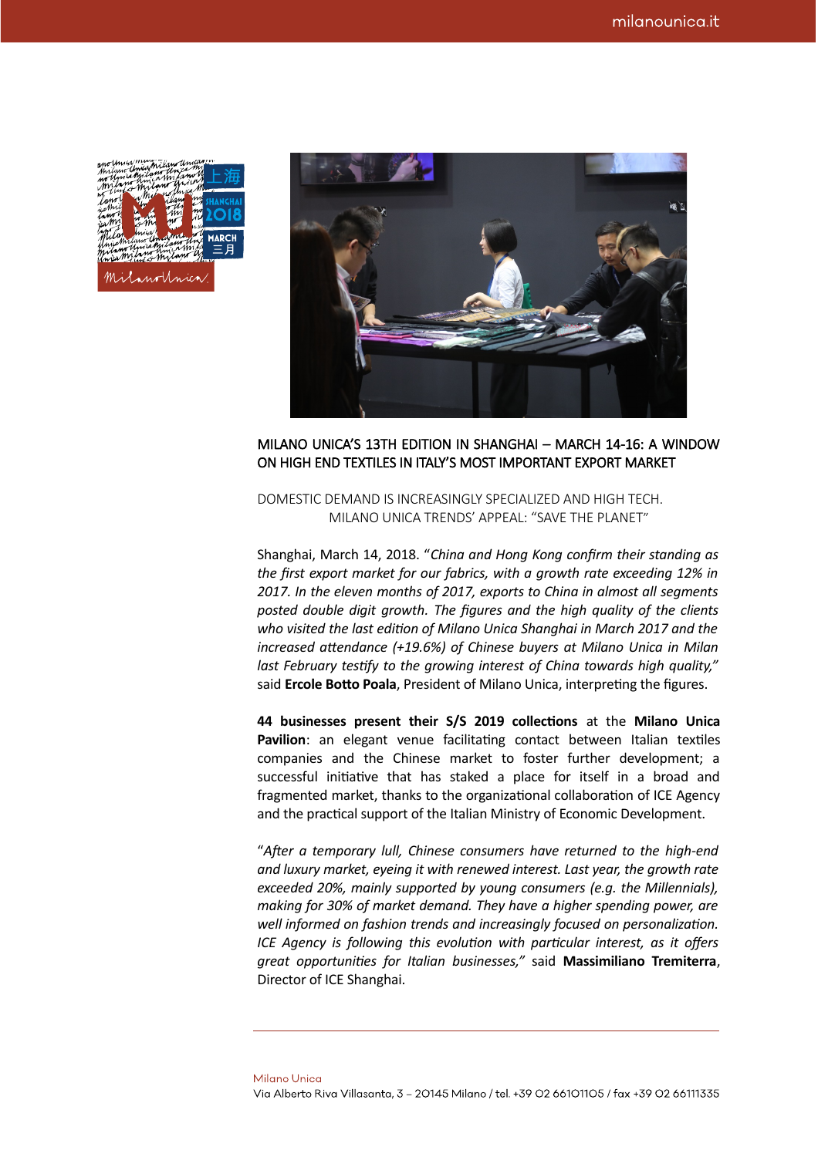| Milano Uniamicam uniu<br>no Unicakritano Unica my |                                |                      |     |               |
|---------------------------------------------------|--------------------------------|----------------------|-----|---------------|
| milano amia milano M<br>in this milan think       |                                | ril nothream         |     |               |
| fanol<br>jesthil                                  |                                | ritand<br>$\tau$ the | mil |               |
| inno i<br>jia/Mi                                  |                                | Mni<br>$m^{-1}$      |     | <i>%</i> 2018 |
| w v<br>wor                                        | mia/h<br>wica Milano Christman |                      |     | <b>MARCH</b>  |
| milano Umianilano Uni<br>Knie milimo hmarint      | Him & Milam W                  |                      |     | <u> 三月</u>    |
|                                                   |                                |                      |     |               |
|                                                   | MilanoUnica.                   |                      |     |               |
|                                                   |                                |                      |     |               |



## MILANO UNICA'S 13TH EDITION IN SHANGHAI – MARCH 14-16: A WINDOW ON HIGH END TEXTILES IN ITALY'S MOST IMPORTANT EXPORT MARKET

DOMESTIC DEMAND IS INCREASINGLY SPECIALIZED AND HIGH TECH. MILANO UNICA TRENDS' APPEAL: "SAVE THE PLANET"

Shanghai, March 14, 2018. "*China and Hong Kong confirm their standing as the first export market for our fabrics, with a growth rate exceeding 12% in 2017. In the eleven months of 2017, exports to China in almost all segments posted double digit growth. The figures and the high quality of the clients who visited the last edition of Milano Unica Shanghai in March 2017 and the increased attendance (+19.6%) of Chinese buyers at Milano Unica in Milan last February testify to the growing interest of China towards high quality,"* said **Ercole Botto Poala**, President of Milano Unica, interpreting the figures.

**44 businesses present their S/S 2019 collections** at the **Milano Unica** Pavilion: an elegant venue facilitating contact between Italian textiles companies and the Chinese market to foster further development; a successful initiative that has staked a place for itself in a broad and fragmented market, thanks to the organizational collaboration of ICE Agency and the practical support of the Italian Ministry of Economic Development.

"*After a temporary lull, Chinese consumers have returned to the high-end and luxury market, eyeing it with renewed interest. Last year, the growth rate exceeded 20%, mainly supported by young consumers (e.g. the Millennials), making for 30% of market demand. They have a higher spending power, are well informed on fashion trends and increasingly focused on personalization. ICE Agency is following this evolution with particular interest, as it offers great opportunities for Italian businesses,"* said **Massimiliano Tremiterra**, Director of ICE Shanghai.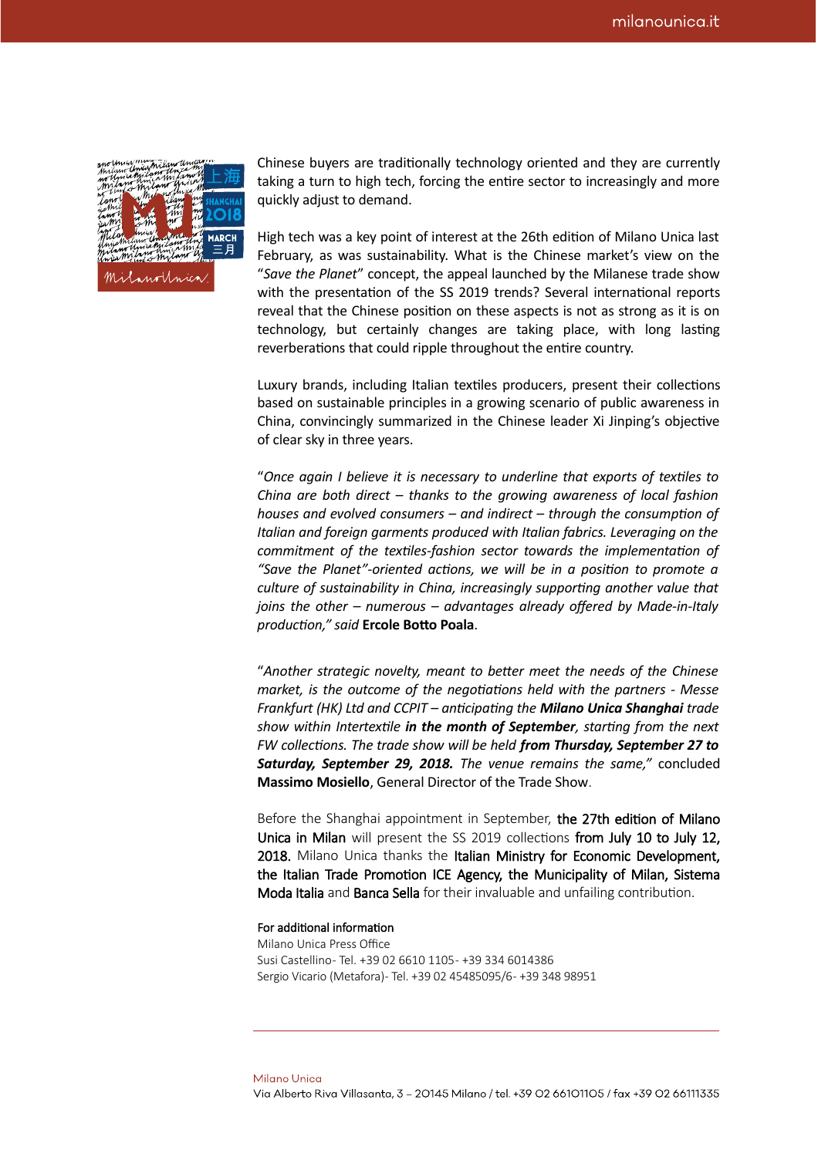| Milano amia Milano umani           |              |  |  |
|------------------------------------|--------------|--|--|
| no University Law University       |              |  |  |
|                                    |              |  |  |
|                                    |              |  |  |
|                                    |              |  |  |
|                                    |              |  |  |
| <b>Long Company of the SHANGHA</b> |              |  |  |
| Have the Care the direction MARCH  |              |  |  |
|                                    |              |  |  |
|                                    |              |  |  |
|                                    | MilanoUnica. |  |  |
|                                    |              |  |  |

Chinese buyers are traditionally technology oriented and they are currently taking a turn to high tech, forcing the entire sector to increasingly and more quickly adjust to demand.

High tech was a key point of interest at the 26th edition of Milano Unica last February, as was sustainability. What is the Chinese market's view on the "*Save the Planet*" concept, the appeal launched by the Milanese trade show with the presentation of the SS 2019 trends? Several international reports reveal that the Chinese position on these aspects is not as strong as it is on technology, but certainly changes are taking place, with long lasting reverberations that could ripple throughout the entire country.

Luxury brands, including Italian textiles producers, present their collections based on sustainable principles in a growing scenario of public awareness in China, convincingly summarized in the Chinese leader Xi Jinping's objective of clear sky in three years.

"*Once again I believe it is necessary to underline that exports of textiles to China are both direct – thanks to the growing awareness of local fashion houses and evolved consumers – and indirect – through the consumption of Italian and foreign garments produced with Italian fabrics. Leveraging on the commitment of the textiles-fashion sector towards the implementation of "Save the Planet"-oriented actions, we will be in a position to promote a culture of sustainability in China, increasingly supporting another value that joins the other – numerous – advantages already offered by Made-in-Italy production," said* **Ercole Botto Poala**.

"*Another strategic novelty, meant to better meet the needs of the Chinese market, is the outcome of the negotiations held with the partners - Messe Frankfurt (HK) Ltd and CCPIT – anticipating the Milano Unica Shanghai trade show within Intertextile in the month of September, starting from the next FW collections. The trade show will be held from Thursday, September 27 to Saturday, September 29, 2018. The venue remains the same,"* concluded **Massimo Mosiello**, General Director of the Trade Show.

Before the Shanghai appointment in September, the 27th edition of Milano Unica in Milan will present the SS 2019 collections from July 10 to July 12, 2018. Milano Unica thanks the Italian Ministry for Economic Development, the Italian Trade Promotion ICE Agency, the Municipality of Milan, Sistema Moda Italia and Banca Sella for their invaluable and unfailing contribution.

## For additional information

Milano Unica Press Office Susi Castellino - Tel. +39 02 6610 1105 - +39 334 6014386 Sergio Vicario (Metafora) - Tel. +39 02 45485095/6 - +39 348 98951